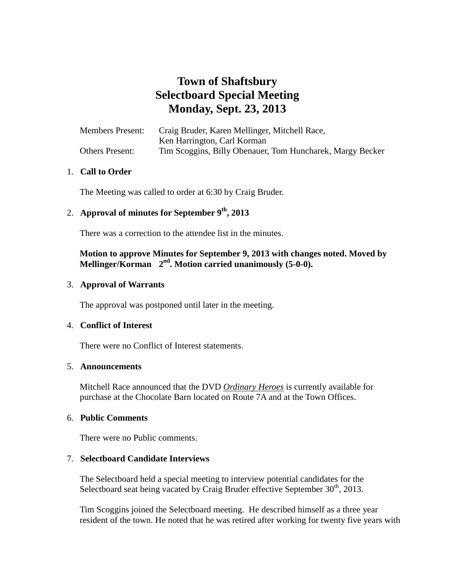# **Town of Shaftsbury Selectboard Special Meeting Monday, Sept. 23, 2013**

| <b>Members Present:</b> | Craig Bruder, Karen Mellinger, Mitchell Race,             |
|-------------------------|-----------------------------------------------------------|
|                         | Ken Harrington, Carl Korman                               |
| <b>Others Present:</b>  | Tim Scoggins, Billy Obenauer, Tom Huncharek, Margy Becker |

### 1. **Call to Order**

The Meeting was called to order at 6:30 by Craig Bruder.

## 2. **Approval of minutes for September 9th, 2013**

There was a correction to the attendee list in the minutes.

### **Motion to approve Minutes for September 9, 2013 with changes noted. Moved by**  Mellinger/Korman 2<sup>nd</sup>. Motion carried unanimously (5-0-0).

### 3. **Approval of Warrants**

The approval was postponed until later in the meeting.

### 4. **Conflict of Interest**

There were no Conflict of Interest statements.

### 5. **Announcements**

Mitchell Race announced that the DVD *Ordinary Heroes* is currently available for purchase at the Chocolate Barn located on Route 7A and at the Town Offices.

### 6. **Public Comments**

There were no Public comments.

### 7. **Selectboard Candidate Interviews**

The Selectboard held a special meeting to interview potential candidates for the Selectboard seat being vacated by Craig Bruder effective September  $30<sup>th</sup>$ , 2013.

Tim Scoggins joined the Selectboard meeting. He described himself as a three year resident of the town. He noted that he was retired after working for twenty five years with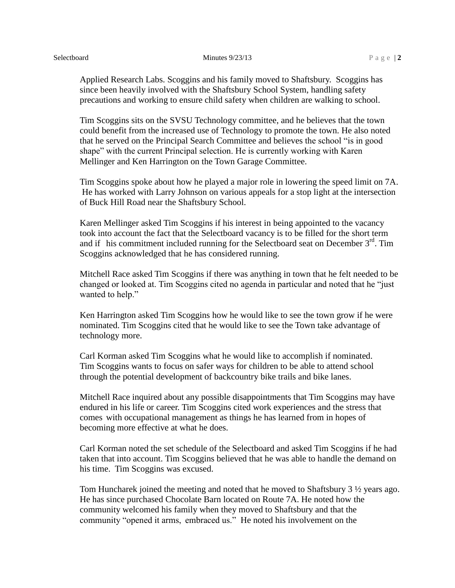#### Selectboard **Minutes 9/23/13** P a g e | 2

Applied Research Labs. Scoggins and his family moved to Shaftsbury. Scoggins has since been heavily involved with the Shaftsbury School System, handling safety precautions and working to ensure child safety when children are walking to school.

Tim Scoggins sits on the SVSU Technology committee, and he believes that the town could benefit from the increased use of Technology to promote the town. He also noted that he served on the Principal Search Committee and believes the school "is in good shape" with the current Principal selection. He is currently working with Karen Mellinger and Ken Harrington on the Town Garage Committee.

Tim Scoggins spoke about how he played a major role in lowering the speed limit on 7A. He has worked with Larry Johnson on various appeals for a stop light at the intersection of Buck Hill Road near the Shaftsbury School.

Karen Mellinger asked Tim Scoggins if his interest in being appointed to the vacancy took into account the fact that the Selectboard vacancy is to be filled for the short term and if his commitment included running for the Selectboard seat on December  $3<sup>rd</sup>$ . Tim Scoggins acknowledged that he has considered running.

Mitchell Race asked Tim Scoggins if there was anything in town that he felt needed to be changed or looked at. Tim Scoggins cited no agenda in particular and noted that he "just wanted to help."

Ken Harrington asked Tim Scoggins how he would like to see the town grow if he were nominated. Tim Scoggins cited that he would like to see the Town take advantage of technology more.

Carl Korman asked Tim Scoggins what he would like to accomplish if nominated. Tim Scoggins wants to focus on safer ways for children to be able to attend school through the potential development of backcountry bike trails and bike lanes.

Mitchell Race inquired about any possible disappointments that Tim Scoggins may have endured in his life or career. Tim Scoggins cited work experiences and the stress that comes with occupational management as things he has learned from in hopes of becoming more effective at what he does.

Carl Korman noted the set schedule of the Selectboard and asked Tim Scoggins if he had taken that into account. Tim Scoggins believed that he was able to handle the demand on his time. Tim Scoggins was excused.

Tom Huncharek joined the meeting and noted that he moved to Shaftsbury 3 ½ years ago. He has since purchased Chocolate Barn located on Route 7A. He noted how the community welcomed his family when they moved to Shaftsbury and that the community "opened it arms, embraced us." He noted his involvement on the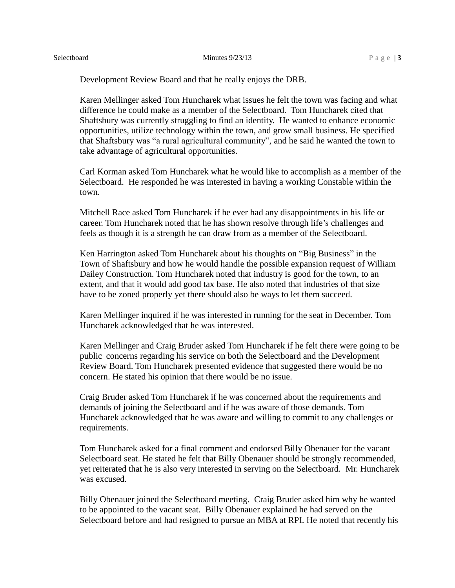#### Selectboard **Minutes 9/23/13** P a g e | **3**

Development Review Board and that he really enjoys the DRB.

Karen Mellinger asked Tom Huncharek what issues he felt the town was facing and what difference he could make as a member of the Selectboard. Tom Huncharek cited that Shaftsbury was currently struggling to find an identity. He wanted to enhance economic opportunities, utilize technology within the town, and grow small business. He specified that Shaftsbury was "a rural agricultural community", and he said he wanted the town to take advantage of agricultural opportunities.

Carl Korman asked Tom Huncharek what he would like to accomplish as a member of the Selectboard. He responded he was interested in having a working Constable within the town.

Mitchell Race asked Tom Huncharek if he ever had any disappointments in his life or career. Tom Huncharek noted that he has shown resolve through life's challenges and feels as though it is a strength he can draw from as a member of the Selectboard.

Ken Harrington asked Tom Huncharek about his thoughts on "Big Business" in the Town of Shaftsbury and how he would handle the possible expansion request of William Dailey Construction. Tom Huncharek noted that industry is good for the town, to an extent, and that it would add good tax base. He also noted that industries of that size have to be zoned properly yet there should also be ways to let them succeed.

Karen Mellinger inquired if he was interested in running for the seat in December. Tom Huncharek acknowledged that he was interested.

Karen Mellinger and Craig Bruder asked Tom Huncharek if he felt there were going to be public concerns regarding his service on both the Selectboard and the Development Review Board. Tom Huncharek presented evidence that suggested there would be no concern. He stated his opinion that there would be no issue.

Craig Bruder asked Tom Huncharek if he was concerned about the requirements and demands of joining the Selectboard and if he was aware of those demands. Tom Huncharek acknowledged that he was aware and willing to commit to any challenges or requirements.

Tom Huncharek asked for a final comment and endorsed Billy Obenauer for the vacant Selectboard seat. He stated he felt that Billy Obenauer should be strongly recommended, yet reiterated that he is also very interested in serving on the Selectboard. Mr. Huncharek was excused.

Billy Obenauer joined the Selectboard meeting. Craig Bruder asked him why he wanted to be appointed to the vacant seat. Billy Obenauer explained he had served on the Selectboard before and had resigned to pursue an MBA at RPI. He noted that recently his